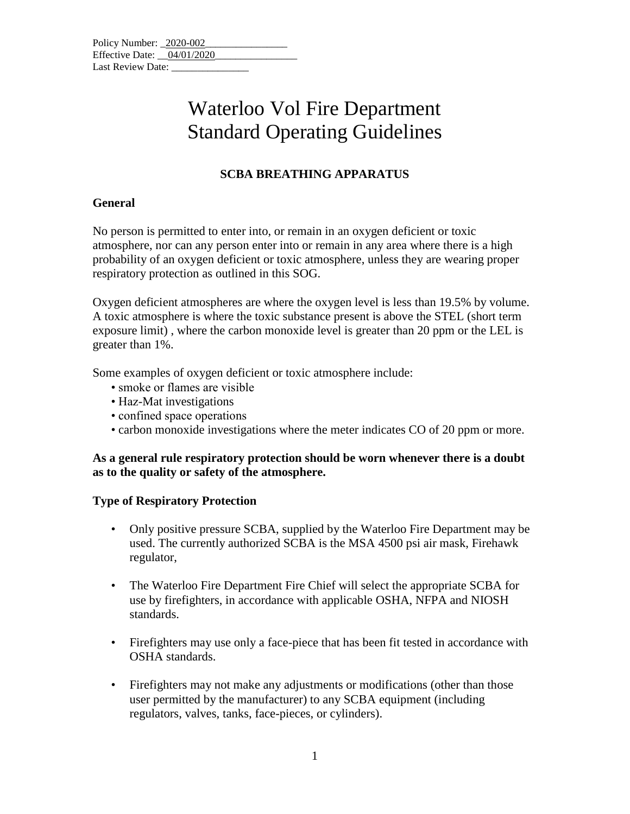| Policy Number: 2020-002    |  |  |  |
|----------------------------|--|--|--|
| Effective Date: 04/01/2020 |  |  |  |
| Last Review Date:          |  |  |  |

## **SCBA BREATHING APPARATUS**

### **General**

No person is permitted to enter into, or remain in an oxygen deficient or toxic atmosphere, nor can any person enter into or remain in any area where there is a high probability of an oxygen deficient or toxic atmosphere, unless they are wearing proper respiratory protection as outlined in this SOG.

Oxygen deficient atmospheres are where the oxygen level is less than 19.5% by volume. A toxic atmosphere is where the toxic substance present is above the STEL (short term exposure limit) , where the carbon monoxide level is greater than 20 ppm or the LEL is greater than 1%.

Some examples of oxygen deficient or toxic atmosphere include:

- smoke or flames are visible
- Haz-Mat investigations
- confined space operations
- carbon monoxide investigations where the meter indicates CO of 20 ppm or more.

#### **As a general rule respiratory protection should be worn whenever there is a doubt as to the quality or safety of the atmosphere.**

## **Type of Respiratory Protection**

- Only positive pressure SCBA, supplied by the Waterloo Fire Department may be used. The currently authorized SCBA is the MSA 4500 psi air mask, Firehawk regulator,
- The Waterloo Fire Department Fire Chief will select the appropriate SCBA for use by firefighters, in accordance with applicable OSHA, NFPA and NIOSH standards.
- Firefighters may use only a face-piece that has been fit tested in accordance with OSHA standards.
- Firefighters may not make any adjustments or modifications (other than those user permitted by the manufacturer) to any SCBA equipment (including regulators, valves, tanks, face-pieces, or cylinders).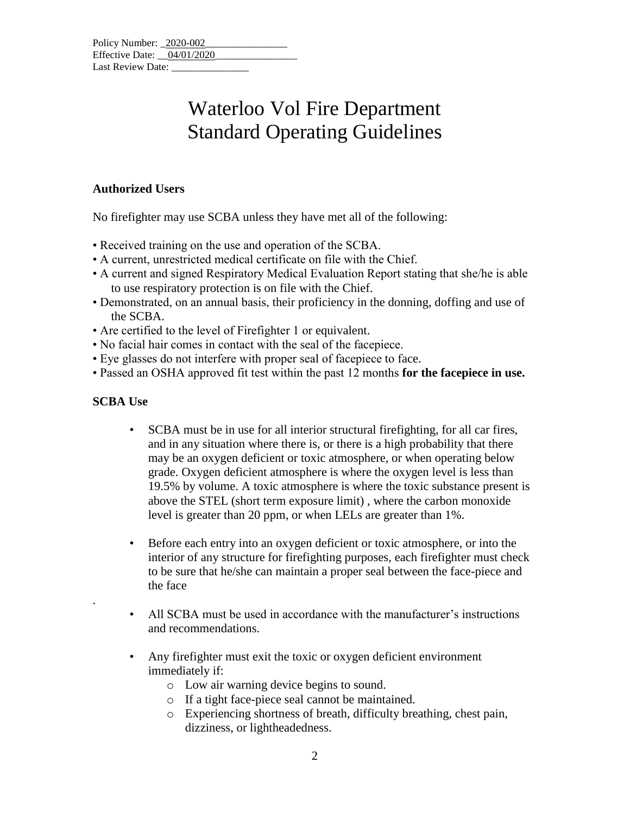### **Authorized Users**

No firefighter may use SCBA unless they have met all of the following:

- Received training on the use and operation of the SCBA.
- A current, unrestricted medical certificate on file with the Chief.
- A current and signed Respiratory Medical Evaluation Report stating that she/he is able to use respiratory protection is on file with the Chief.
- Demonstrated, on an annual basis, their proficiency in the donning, doffing and use of the SCBA.
- Are certified to the level of Firefighter 1 or equivalent.
- No facial hair comes in contact with the seal of the facepiece.
- Eye glasses do not interfere with proper seal of facepiece to face.
- Passed an OSHA approved fit test within the past 12 months **for the facepiece in use.**

## **SCBA Use**

.

- SCBA must be in use for all interior structural firefighting, for all car fires, and in any situation where there is, or there is a high probability that there may be an oxygen deficient or toxic atmosphere, or when operating below grade. Oxygen deficient atmosphere is where the oxygen level is less than 19.5% by volume. A toxic atmosphere is where the toxic substance present is above the STEL (short term exposure limit) , where the carbon monoxide level is greater than 20 ppm, or when LELs are greater than 1%.
- Before each entry into an oxygen deficient or toxic atmosphere, or into the interior of any structure for firefighting purposes, each firefighter must check to be sure that he/she can maintain a proper seal between the face-piece and the face
- All SCBA must be used in accordance with the manufacturer's instructions and recommendations.
- Any firefighter must exit the toxic or oxygen deficient environment immediately if:
	- o Low air warning device begins to sound.
	- o If a tight face-piece seal cannot be maintained.
	- o Experiencing shortness of breath, difficulty breathing, chest pain, dizziness, or lightheadedness.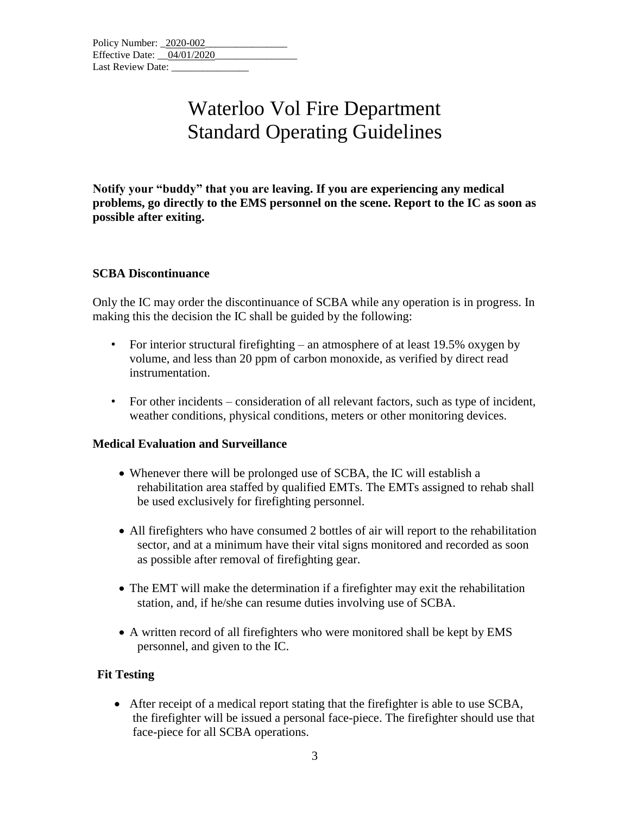**Notify your "buddy" that you are leaving. If you are experiencing any medical problems, go directly to the EMS personnel on the scene. Report to the IC as soon as possible after exiting.** 

### **SCBA Discontinuance**

Only the IC may order the discontinuance of SCBA while any operation is in progress. In making this the decision the IC shall be guided by the following:

- For interior structural firefighting an atmosphere of at least 19.5% oxygen by volume, and less than 20 ppm of carbon monoxide, as verified by direct read instrumentation.
- For other incidents consideration of all relevant factors, such as type of incident, weather conditions, physical conditions, meters or other monitoring devices.

## **Medical Evaluation and Surveillance**

- Whenever there will be prolonged use of SCBA, the IC will establish a rehabilitation area staffed by qualified EMTs. The EMTs assigned to rehab shall be used exclusively for firefighting personnel.
- All firefighters who have consumed 2 bottles of air will report to the rehabilitation sector, and at a minimum have their vital signs monitored and recorded as soon as possible after removal of firefighting gear.
- The EMT will make the determination if a firefighter may exit the rehabilitation station, and, if he/she can resume duties involving use of SCBA.
- A written record of all firefighters who were monitored shall be kept by EMS personnel, and given to the IC.

## **Fit Testing**

• After receipt of a medical report stating that the firefighter is able to use SCBA, the firefighter will be issued a personal face-piece. The firefighter should use that face-piece for all SCBA operations.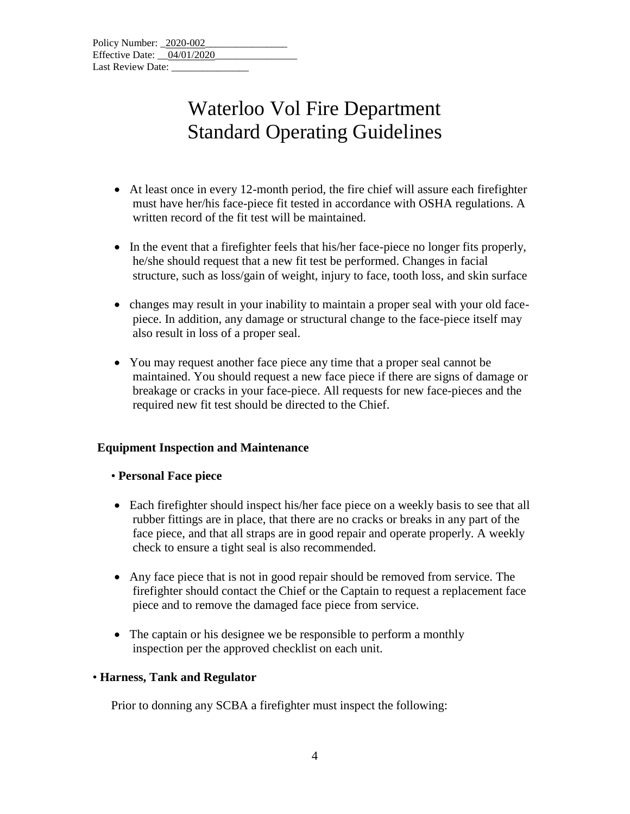| Policy Number: 2020-002      |  |
|------------------------------|--|
| Effective Date: $04/01/2020$ |  |
| Last Review Date:            |  |

- At least once in every 12-month period, the fire chief will assure each firefighter must have her/his face-piece fit tested in accordance with OSHA regulations. A written record of the fit test will be maintained.
- In the event that a firefighter feels that his/her face-piece no longer fits properly, he/she should request that a new fit test be performed. Changes in facial structure, such as loss/gain of weight, injury to face, tooth loss, and skin surface
- changes may result in your inability to maintain a proper seal with your old facepiece. In addition, any damage or structural change to the face-piece itself may also result in loss of a proper seal.
- You may request another face piece any time that a proper seal cannot be maintained. You should request a new face piece if there are signs of damage or breakage or cracks in your face-piece. All requests for new face-pieces and the required new fit test should be directed to the Chief.

#### **Equipment Inspection and Maintenance**

#### • **Personal Face piece**

- Each firefighter should inspect his/her face piece on a weekly basis to see that all rubber fittings are in place, that there are no cracks or breaks in any part of the face piece, and that all straps are in good repair and operate properly. A weekly check to ensure a tight seal is also recommended.
- Any face piece that is not in good repair should be removed from service. The firefighter should contact the Chief or the Captain to request a replacement face piece and to remove the damaged face piece from service.
- The captain or his designee we be responsible to perform a monthly inspection per the approved checklist on each unit.

#### • **Harness, Tank and Regulator**

Prior to donning any SCBA a firefighter must inspect the following: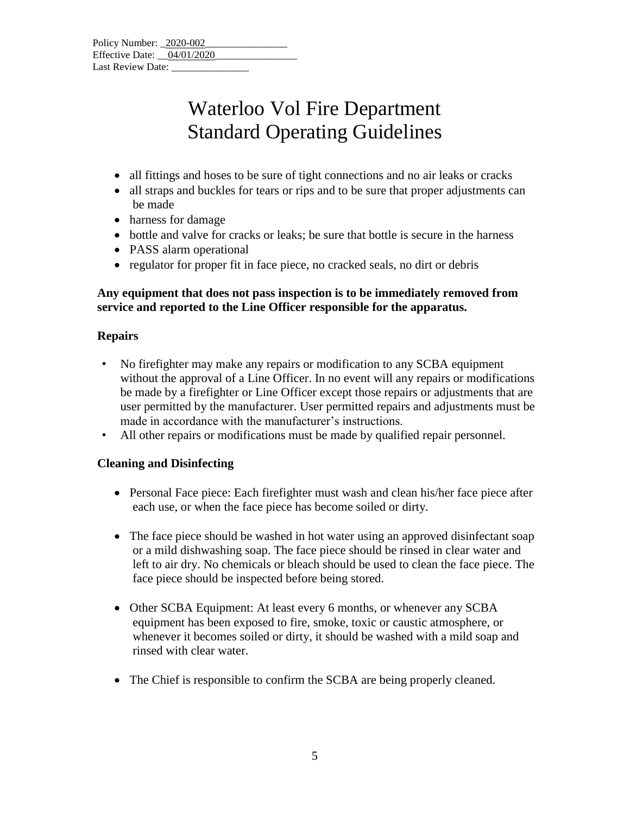| Policy Number: 2020-002    |  |  |  |
|----------------------------|--|--|--|
| Effective Date: 04/01/2020 |  |  |  |
| Last Review Date:          |  |  |  |

- all fittings and hoses to be sure of tight connections and no air leaks or cracks
- all straps and buckles for tears or rips and to be sure that proper adjustments can be made
- harness for damage
- bottle and valve for cracks or leaks; be sure that bottle is secure in the harness
- PASS alarm operational
- regulator for proper fit in face piece, no cracked seals, no dirt or debris

### **Any equipment that does not pass inspection is to be immediately removed from service and reported to the Line Officer responsible for the apparatus.**

### **Repairs**

- No firefighter may make any repairs or modification to any SCBA equipment without the approval of a Line Officer. In no event will any repairs or modifications be made by a firefighter or Line Officer except those repairs or adjustments that are user permitted by the manufacturer. User permitted repairs and adjustments must be made in accordance with the manufacturer's instructions.
- All other repairs or modifications must be made by qualified repair personnel.

## **Cleaning and Disinfecting**

- Personal Face piece: Each firefighter must wash and clean his/her face piece after each use, or when the face piece has become soiled or dirty.
- The face piece should be washed in hot water using an approved disinfectant soap or a mild dishwashing soap. The face piece should be rinsed in clear water and left to air dry. No chemicals or bleach should be used to clean the face piece. The face piece should be inspected before being stored.
- Other SCBA Equipment: At least every 6 months, or whenever any SCBA equipment has been exposed to fire, smoke, toxic or caustic atmosphere, or whenever it becomes soiled or dirty, it should be washed with a mild soap and rinsed with clear water.
- The Chief is responsible to confirm the SCBA are being properly cleaned.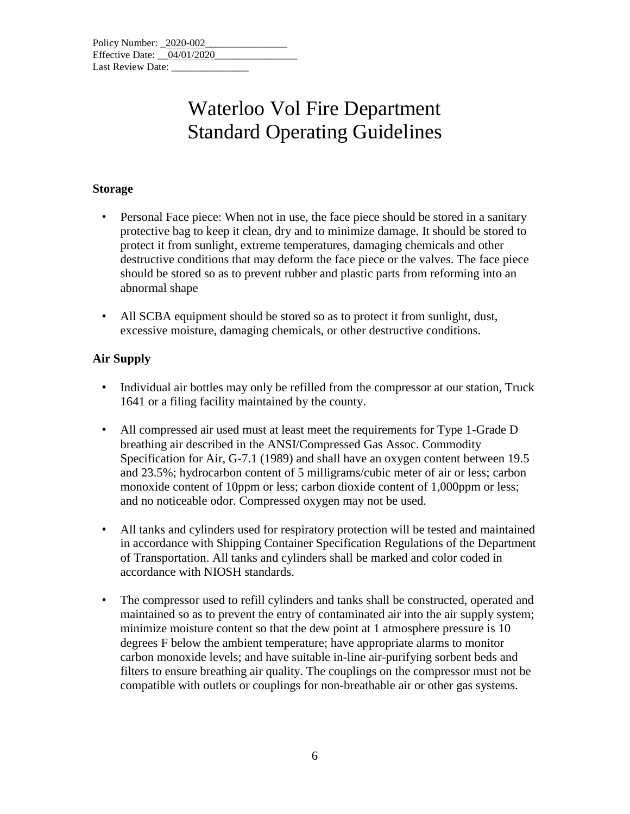### **Storage**

- Personal Face piece: When not in use, the face piece should be stored in a sanitary protective bag to keep it clean, dry and to minimize damage. It should be stored to protect it from sunlight, extreme temperatures, damaging chemicals and other destructive conditions that may deform the face piece or the valves. The face piece should be stored so as to prevent rubber and plastic parts from reforming into an abnormal shape
- All SCBA equipment should be stored so as to protect it from sunlight, dust, excessive moisture, damaging chemicals, or other destructive conditions.

## **Air Supply**

- Individual air bottles may only be refilled from the compressor at our station, Truck 1641 or a filing facility maintained by the county.
- All compressed air used must at least meet the requirements for Type 1-Grade D breathing air described in the ANSI/Compressed Gas Assoc. Commodity Specification for Air, G-7.1 (1989) and shall have an oxygen content between 19.5 and 23.5%; hydrocarbon content of 5 milligrams/cubic meter of air or less; carbon monoxide content of 10ppm or less; carbon dioxide content of 1,000ppm or less; and no noticeable odor. Compressed oxygen may not be used.
- All tanks and cylinders used for respiratory protection will be tested and maintained in accordance with Shipping Container Specification Regulations of the Department of Transportation. All tanks and cylinders shall be marked and color coded in accordance with NIOSH standards.
- The compressor used to refill cylinders and tanks shall be constructed, operated and maintained so as to prevent the entry of contaminated air into the air supply system; minimize moisture content so that the dew point at 1 atmosphere pressure is 10 degrees F below the ambient temperature; have appropriate alarms to monitor carbon monoxide levels; and have suitable in-line air-purifying sorbent beds and filters to ensure breathing air quality. The couplings on the compressor must not be compatible with outlets or couplings for non-breathable air or other gas systems.